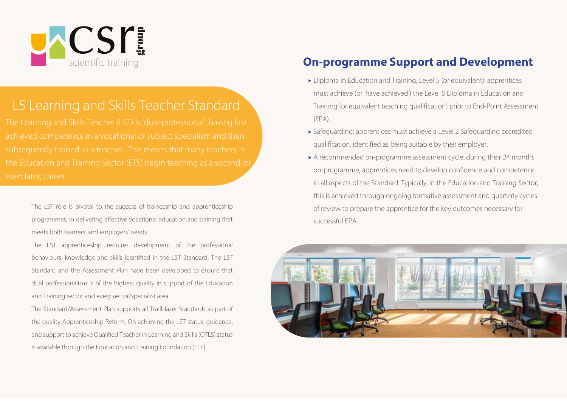

# L5 Learning and Skills Teacher Standard

achieved competence in a vocational or subject specialism and then subsequently trained as a teacher. This means that many teachers in even later, career.

The LST role is pivotal to the success of traineeship and apprenticeship programmes, in delivering effective vocational education and training that meets both learners' and employers' needs.

The LST apprenticeship requires development of the professional behaviours, knowledge and skills identified in the LST Standard. The LST Standard and the Assessment Plan have been developed to ensure that dual professionalism is of the highest quality in support of the Education and Training sector and every sector/specialist area.

The Standard/Assessment Plan supports all Trailblazer Standards as part of the quality Apprenticeship Reform. On achieving the LST status, quidance, and support to achieve Qualified Teacher in Learning and Skills (QTLS) status is available through the Education and Training Foundation (ETF)

#### **On-programme Support and Development**

- Diploma in Education and Training, Level 5 (or equivalent): apprentices must achieve (or 'have achieved') the Level 5 Diploma in Education and Training (or equivalent teaching qualification) prior to End-Point Assessment  $(FPA)$
- Safeguarding: apprentices must achieve a Level 2 Safeguarding accredited qualification, identified as being suitable by their employer.
- A recommended on-programme assessment cycle: during their 24 months on-programme, apprentices need to develop confidence and competence in all aspects of the Standard. Typically, in the Education and Training Sector, this is achieved through ongoing formative assessment and quarterly cycles of review to prepare the apprentice for the key outcomes necessary for successful FPA

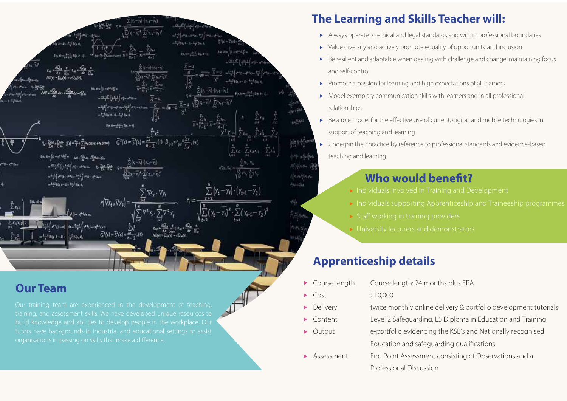

#### **Our Team**

build knowledge and abilities to develop people in the workplace. Our<br>tutors have backgrounds in industrial and educational settings to assist

## The Learning and Skills Teacher will:

- Always operate to ethical and legal standards and within professional boundaries
- Value diversity and actively promote equality of opportunity and inclusion
- Be resilient and adaptable when dealing with challenge and change, maintaining focus and self-control
- Promote a passion for learning and high expectations of all learners
- Model exemplary communication skills with learners and in all professional relationships
- Be a role model for the effective use of current, digital, and mobile technologies in support of teaching and learning
- Underpin their practice by reference to professional standards and evidence-based  $\blacktriangleright$ teaching and learning

### Who would benefit?

- 
- 
- 
- 

### **Apprenticeship details**

- Course length Course length: 24 months plus EPA
- $Cost$   $£10,000$

Ы

- Delivery **Example 20** twice monthly online delivery & portfolio development tutorials Þ.
	- Content Level 2 Safeguarding, L5 Diploma in Education and Training
- Output e-portfolio evidencing the KSB's and Nationally recognised Education and safeguarding qualifications
- $\blacktriangleright$  Assessment ent End Point Assessment consisting of Observations and a Professional Discussion